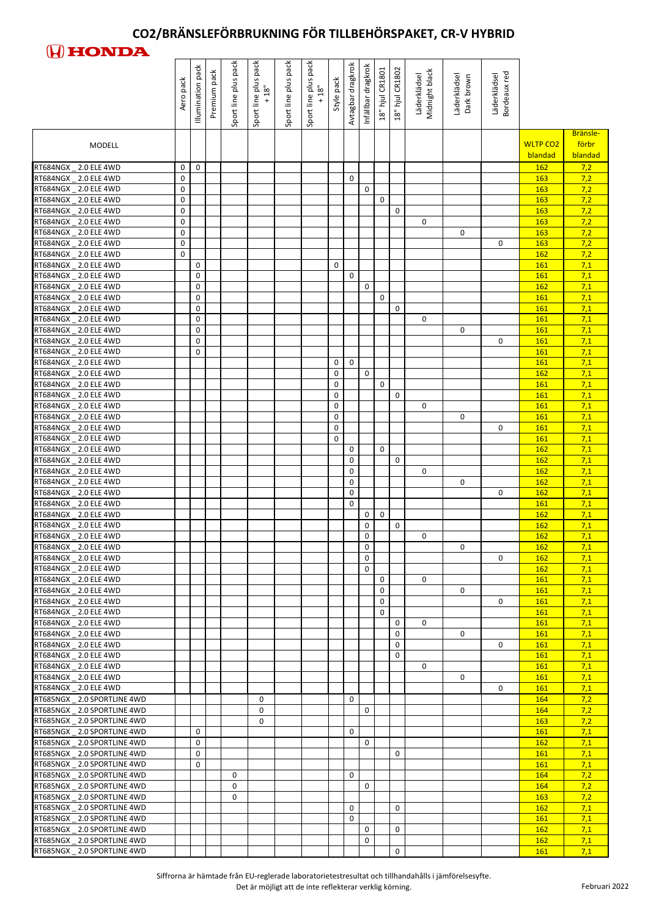

|                                                          | pack<br>Aero | pack<br>Illumination | pack<br>Premium | Sport line plus pack | pack<br>$\begin{array}{c}\n\text{Spot line plus p} \\ +18" \end{array}$ | pack<br>Sport line plus | Sport line plus pack<br>+ 18" | Style pack                 | Avtagbar dragkrok | Infällbar dragkrok     | 18" hjul CR1801 | 18" hjul CR1802            | Midnight black<br>Läderklädsel | Läderklädsel<br>Dark brown | Bordeaux red<br>Läderklädsel |                            |                              |
|----------------------------------------------------------|--------------|----------------------|-----------------|----------------------|-------------------------------------------------------------------------|-------------------------|-------------------------------|----------------------------|-------------------|------------------------|-----------------|----------------------------|--------------------------------|----------------------------|------------------------------|----------------------------|------------------------------|
| <b>MODELL</b>                                            |              |                      |                 |                      |                                                                         |                         |                               |                            |                   |                        |                 |                            |                                |                            |                              | <b>WLTP CO2</b><br>blandad | Bränsle-<br>förbr<br>blandad |
| RT684NGX 2.0 ELE 4WD                                     | 0            | $\mathbf 0$          |                 |                      |                                                                         |                         |                               |                            |                   |                        |                 |                            |                                |                            |                              | <b>162</b>                 | 7,2                          |
| RT684NGX _ 2.0 ELE 4WD                                   | 0            |                      |                 |                      |                                                                         |                         |                               |                            | 0                 |                        |                 |                            |                                |                            |                              | <b>163</b>                 | 7,2                          |
| RT684NGX _ 2.0 ELE 4WD<br>RT684NGX _ 2.0 ELE 4WD         | 0<br>0       |                      |                 |                      |                                                                         |                         |                               |                            |                   | $\pmb{0}$              | $\mathbf 0$     |                            |                                |                            |                              | 163<br>163                 | 7,2<br>7,2                   |
| RT684NGX _ 2.0 ELE 4WD                                   | 0            |                      |                 |                      |                                                                         |                         |                               |                            |                   |                        |                 | 0                          |                                |                            |                              | 163                        | 7,2                          |
| RT684NGX _ 2.0 ELE 4WD                                   | 0            |                      |                 |                      |                                                                         |                         |                               |                            |                   |                        |                 |                            | $\mathbf 0$                    |                            |                              | 163                        | 7,2                          |
| RT684NGX _ 2.0 ELE 4WD                                   | 0            |                      |                 |                      |                                                                         |                         |                               |                            |                   |                        |                 |                            |                                | $\mathbf 0$                |                              | 163                        | 7,2                          |
| RT684NGX _ 2.0 ELE 4WD<br>RT684NGX _ 2.0 ELE 4WD         | 0<br>0       |                      |                 |                      |                                                                         |                         |                               |                            |                   |                        |                 |                            |                                |                            | 0                            | 163<br><b>162</b>          | 7,2<br>7,2                   |
| RT684NGX _ 2.0 ELE 4WD                                   |              | 0                    |                 |                      |                                                                         |                         |                               | $\mathsf 0$                |                   |                        |                 |                            |                                |                            |                              | 161                        | 7,1                          |
| RT684NGX _ 2.0 ELE 4WD                                   |              | 0                    |                 |                      |                                                                         |                         |                               |                            | 0                 |                        |                 |                            |                                |                            |                              | 161                        | 7,1                          |
| RT684NGX _ 2.0 ELE 4WD                                   |              | 0                    |                 |                      |                                                                         |                         |                               |                            |                   | $\pmb{0}$              |                 |                            |                                |                            |                              | 162                        | 7,1                          |
| RT684NGX _ 2.0 ELE 4WD<br>RT684NGX 2.0 ELE 4WD           |              | 0<br>0               |                 |                      |                                                                         |                         |                               |                            |                   |                        | $\mathbf 0$     | 0                          |                                |                            |                              | 161<br>161                 | 7,1<br>7,1                   |
| RT684NGX 2.0 ELE 4WD                                     |              | 0                    |                 |                      |                                                                         |                         |                               |                            |                   |                        |                 |                            | $\mathbf 0$                    |                            |                              | <b>161</b>                 | 7,1                          |
| RT684NGX _ 2.0 ELE 4WD                                   |              | 0                    |                 |                      |                                                                         |                         |                               |                            |                   |                        |                 |                            |                                | 0                          |                              | 161                        | 7,1                          |
| RT684NGX _ 2.0 ELE 4WD                                   |              | 0                    |                 |                      |                                                                         |                         |                               |                            |                   |                        |                 |                            |                                |                            | 0                            | 161                        | 7,1                          |
| RT684NGX _ 2.0 ELE 4WD                                   |              | 0                    |                 |                      |                                                                         |                         |                               |                            |                   |                        |                 |                            |                                |                            |                              | 161                        | 7,1                          |
| RT684NGX _ 2.0 ELE 4WD<br>RT684NGX 2.0 ELE 4WD           |              |                      |                 |                      |                                                                         |                         |                               | $\mathbf 0$<br>$\pmb{0}$   | 0                 | $\pmb{0}$              |                 |                            |                                |                            |                              | <b>161</b><br><b>162</b>   | 7,1<br>7,1                   |
| RT684NGX _ 2.0 ELE 4WD                                   |              |                      |                 |                      |                                                                         |                         |                               | 0                          |                   |                        | $\mathbf 0$     |                            |                                |                            |                              | 161                        | 7,1                          |
| RT684NGX 2.0 ELE 4WD                                     |              |                      |                 |                      |                                                                         |                         |                               | $\mathsf{O}\xspace$        |                   |                        |                 | $\mathbf 0$                |                                |                            |                              | 161                        | 7,1                          |
| RT684NGX _ 2.0 ELE 4WD                                   |              |                      |                 |                      |                                                                         |                         |                               | $\mathbf 0$                |                   |                        |                 |                            | 0                              |                            |                              | 161                        | 7,1                          |
| RT684NGX 2.0 ELE 4WD                                     |              |                      |                 |                      |                                                                         |                         |                               | $\mathbf 0$                |                   |                        |                 |                            |                                | 0                          |                              | 161                        | 7,1                          |
| RT684NGX 2.0 ELE 4WD<br>RT684NGX 2.0 ELE 4WD             |              |                      |                 |                      |                                                                         |                         |                               | $\mathbf 0$<br>$\mathsf 0$ |                   |                        |                 |                            |                                |                            | 0                            | 161<br>161                 | 7,1<br>7,1                   |
| RT684NGX _ 2.0 ELE 4WD                                   |              |                      |                 |                      |                                                                         |                         |                               |                            | 0                 |                        | $\mathbf 0$     |                            |                                |                            |                              | <b>162</b>                 | 7,1                          |
| RT684NGX 2.0 ELE 4WD                                     |              |                      |                 |                      |                                                                         |                         |                               |                            | $\pmb{0}$         |                        |                 | $\mathbf 0$                |                                |                            |                              | 162                        | 7,1                          |
| RT684NGX _ 2.0 ELE 4WD                                   |              |                      |                 |                      |                                                                         |                         |                               |                            | 0                 |                        |                 |                            | $\mathbf 0$                    |                            |                              | <b>162</b>                 | 7,1                          |
| RT684NGX _ 2.0 ELE 4WD                                   |              |                      |                 |                      |                                                                         |                         |                               |                            | 0                 |                        |                 |                            |                                | $\mathbf{0}$               |                              | <b>162</b>                 | 7,1                          |
| RT684NGX _ 2.0 ELE 4WD<br>RT684NGX 2.0 ELE 4WD           |              |                      |                 |                      |                                                                         |                         |                               |                            | 0<br>0            |                        |                 |                            |                                |                            | $\mathbf{0}$                 | 162<br>161                 | 7,1<br>7,1                   |
| RT684NGX 2.0 ELE 4WD                                     |              |                      |                 |                      |                                                                         |                         |                               |                            |                   | $\pmb{0}$              | $\mathbf 0$     |                            |                                |                            |                              | 162                        | 7,1                          |
| RT684NGX 2.0 ELE 4WD                                     |              |                      |                 |                      |                                                                         |                         |                               |                            |                   | $\pmb{0}$              |                 | $\mathbf 0$                |                                |                            |                              | 162                        | 7,1                          |
| RT684NGX _ 2.0 ELE 4WD                                   |              |                      |                 |                      |                                                                         |                         |                               |                            |                   | $\pmb{0}$              |                 |                            | 0                              |                            |                              | <b>162</b>                 | 7,1                          |
| RT684NGX _ 2.0 ELE 4WD                                   |              |                      |                 |                      |                                                                         |                         |                               |                            |                   | $\mathbf 0$            |                 |                            |                                | 0                          |                              | 162                        | 7,1                          |
| RT684NGX _ 2.0 ELE 4WD<br>RT684NGX _ 2.0 ELE 4WD         |              |                      |                 |                      |                                                                         |                         |                               |                            |                   | $\pmb{0}$<br>$\pmb{0}$ |                 |                            |                                |                            | 0                            | <b>162</b><br><b>162</b>   | 7,1<br>7,1                   |
| RT684NGX _ 2.0 ELE 4WD                                   |              |                      |                 |                      |                                                                         |                         |                               |                            |                   |                        | 0               |                            | $\Omega$                       |                            |                              | 161                        | 7,1                          |
| RT684NGX _ 2.0 ELE 4WD                                   |              |                      |                 |                      |                                                                         |                         |                               |                            |                   |                        | $\pmb{0}$       |                            |                                | 0                          |                              | <b>161</b>                 | 7,1                          |
| RT684NGX _ 2.0 ELE 4WD                                   |              |                      |                 |                      |                                                                         |                         |                               |                            |                   |                        | $\mathbf 0$     |                            |                                |                            | 0                            | 161                        | 7,1                          |
| RT684NGX _ 2.0 ELE 4WD                                   |              |                      |                 |                      |                                                                         |                         |                               |                            |                   |                        | $\mathbf 0$     |                            |                                |                            |                              | 161                        | 7,1                          |
| RT684NGX _ 2.0 ELE 4WD<br>RT684NGX _ 2.0 ELE 4WD         |              |                      |                 |                      |                                                                         |                         |                               |                            |                   |                        |                 | $\mathbf 0$<br>$\mathbf 0$ | 0                              | 0                          |                              | <b>161</b><br>161          | 7,1<br>7,1                   |
| RT684NGX _ 2.0 ELE 4WD                                   |              |                      |                 |                      |                                                                         |                         |                               |                            |                   |                        |                 | $\mathbf 0$                |                                |                            | 0                            | 161                        | 7,1                          |
| RT684NGX _ 2.0 ELE 4WD                                   |              |                      |                 |                      |                                                                         |                         |                               |                            |                   |                        |                 | 0                          |                                |                            |                              | <b>161</b>                 | 7,1                          |
| RT684NGX _ 2.0 ELE 4WD                                   |              |                      |                 |                      |                                                                         |                         |                               |                            |                   |                        |                 |                            | 0                              |                            |                              | 161                        | 7,1                          |
| RT684NGX _ 2.0 ELE 4WD                                   |              |                      |                 |                      |                                                                         |                         |                               |                            |                   |                        |                 |                            |                                | 0                          |                              | <b>161</b>                 | 7,1                          |
| RT684NGX _ 2.0 ELE 4WD<br>RT685NGX 2.0 SPORTLINE 4WD     |              |                      |                 |                      | 0                                                                       |                         |                               |                            | 0                 |                        |                 |                            |                                |                            | 0                            | 161<br>164                 | 7,1<br>7,2                   |
| RT685NGX 2.0 SPORTLINE 4WD                               |              |                      |                 |                      | 0                                                                       |                         |                               |                            |                   | 0                      |                 |                            |                                |                            |                              | 164                        | 7,2                          |
| RT685NGX _ 2.0 SPORTLINE 4WD                             |              |                      |                 |                      | 0                                                                       |                         |                               |                            |                   |                        |                 |                            |                                |                            |                              | 163                        | 7,2                          |
| RT685NGX _ 2.0 SPORTLINE 4WD                             |              | 0                    |                 |                      |                                                                         |                         |                               |                            | 0                 |                        |                 |                            |                                |                            |                              | <b>161</b>                 | 7,1                          |
| RT685NGX _ 2.0 SPORTLINE 4WD                             |              | $\Omega$             |                 |                      |                                                                         |                         |                               |                            |                   | $\overline{0}$         |                 |                            |                                |                            |                              | <b>162</b>                 | 7,1                          |
| RT685NGX 2.0 SPORTLINE 4WD<br>RT685NGX 2.0 SPORTLINE 4WD |              | 0<br>0               |                 |                      |                                                                         |                         |                               |                            |                   |                        |                 | $\mathbf 0$                |                                |                            |                              | 161<br>161                 | 7,1<br>7,1                   |
| RT685NGX 2.0 SPORTLINE 4WD                               |              |                      |                 | 0                    |                                                                         |                         |                               |                            | 0                 |                        |                 |                            |                                |                            |                              | 164                        | 7,2                          |
| RT685NGX 2.0 SPORTLINE 4WD                               |              |                      |                 | $\mathbf 0$          |                                                                         |                         |                               |                            |                   | $\mathbf 0$            |                 |                            |                                |                            |                              | 164                        | 7,2                          |
| RT685NGX 2.0 SPORTLINE 4WD                               |              |                      |                 | 0                    |                                                                         |                         |                               |                            |                   |                        |                 |                            |                                |                            |                              | <b>163</b>                 | 7,2                          |
| RT685NGX _ 2.0 SPORTLINE 4WD                             |              |                      |                 |                      |                                                                         |                         |                               |                            | 0                 |                        |                 | 0                          |                                |                            |                              | 162                        | 7,1                          |
| RT685NGX 2.0 SPORTLINE 4WD<br>RT685NGX 2.0 SPORTLINE 4WD |              |                      |                 |                      |                                                                         |                         |                               |                            | $\pmb{0}$         | 0                      |                 | $\mathbf 0$                |                                |                            |                              | <b>161</b><br><b>162</b>   | 7,1<br>7,1                   |
| RT685NGX 2.0 SPORTLINE 4WD                               |              |                      |                 |                      |                                                                         |                         |                               |                            |                   | 0                      |                 |                            |                                |                            |                              | 162                        | 7,1                          |
| RT685NGX _ 2.0 SPORTLINE 4WD                             |              |                      |                 |                      |                                                                         |                         |                               |                            |                   |                        |                 | $\mathsf 0$                |                                |                            |                              | <b>161</b>                 | 7,1                          |

Siffrorna är hämtade från EU-reglerade laboratorietestresultat och tillhandahålls i jämförelsesyfte.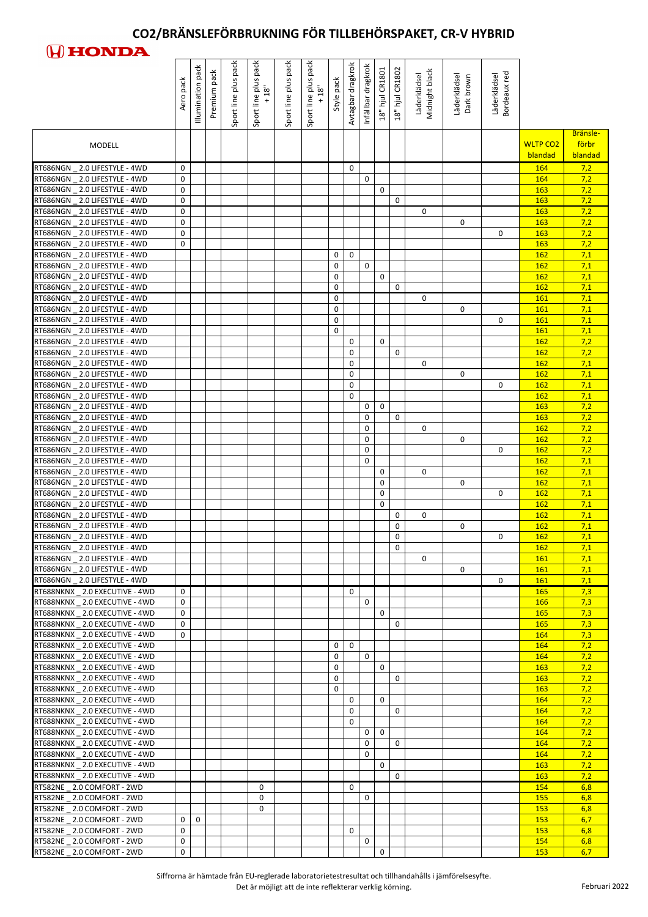

|                                                                    | pack<br>Aero             | Illumination pack | pack<br>Premium | Sport line plus pack | pack<br>Sport line plus<br>18"<br>$\ddot{}$ | pack<br>Sport line plus | Sport line plus pack<br>18" | Style pack | Avtagbar dragkrok | Infällbar dragkrok      | 18" hjul CR1801 | 18" hjul CR1802 | Midnight black<br>Läderklädsel | Läderklädsel<br>Dark brown | Bordeaux red<br>Läderklädsel |                            |                              |
|--------------------------------------------------------------------|--------------------------|-------------------|-----------------|----------------------|---------------------------------------------|-------------------------|-----------------------------|------------|-------------------|-------------------------|-----------------|-----------------|--------------------------------|----------------------------|------------------------------|----------------------------|------------------------------|
| <b>MODELL</b>                                                      |                          |                   |                 |                      |                                             |                         |                             |            |                   |                         |                 |                 |                                |                            |                              | <b>WLTP CO2</b><br>blandad | Bränsle-<br>förbr<br>blandad |
| 2.0 LIFESTYLE - 4WD<br>RT686NGN                                    | 0                        |                   |                 |                      |                                             |                         |                             |            | 0                 |                         |                 |                 |                                |                            |                              | 164                        | 7,2                          |
| 2.0 LIFESTYLE - 4WD<br>RT686NGN<br>RT686NGN 2.0 LIFESTYLE - 4WD    | 0<br>0                   |                   |                 |                      |                                             |                         |                             |            |                   | $\mathbf 0$             | 0               |                 |                                |                            |                              | 164<br>163                 | 7,2<br>7,2                   |
| RT686NGN 2.0 LIFESTYLE - 4WD                                       | 0                        |                   |                 |                      |                                             |                         |                             |            |                   |                         |                 | 0               |                                |                            |                              | 163                        | 7,2                          |
| RT686NGN 2.0 LIFESTYLE - 4WD                                       | 0                        |                   |                 |                      |                                             |                         |                             |            |                   |                         |                 |                 | 0                              |                            |                              | 163                        | 7,2                          |
| RT686NGN 2.0 LIFESTYLE - 4WD<br>RT686NGN 2.0 LIFESTYLE - 4WD       | 0<br>0                   |                   |                 |                      |                                             |                         |                             |            |                   |                         |                 |                 |                                | 0                          | 0                            | 163<br>163                 | 7,2                          |
| RT686NGN 2.0 LIFESTYLE - 4WD                                       | 0                        |                   |                 |                      |                                             |                         |                             |            |                   |                         |                 |                 |                                |                            |                              | <b>163</b>                 | 7,2<br>7,2                   |
| RT686NGN 2.0 LIFESTYLE - 4WD                                       |                          |                   |                 |                      |                                             |                         |                             | 0          | $\mathbf 0$       |                         |                 |                 |                                |                            |                              | 162                        | 7,1                          |
| RT686NGN 2.0 LIFESTYLE - 4WD                                       |                          |                   |                 |                      |                                             |                         |                             | 0          |                   | $\mathbf 0$             |                 |                 |                                |                            |                              | 162                        | 7,1                          |
| RT686NGN 2.0 LIFESTYLE - 4WD<br>RT686NGN 2.0 LIFESTYLE - 4WD       |                          |                   |                 |                      |                                             |                         |                             | 0<br>0     |                   |                         | $\mathbf 0$     | 0               |                                |                            |                              | <b>162</b><br><b>162</b>   | 7,1<br>7,1                   |
| RT686NGN 2.0 LIFESTYLE - 4WD                                       |                          |                   |                 |                      |                                             |                         |                             | 0          |                   |                         |                 |                 | 0                              |                            |                              | 161                        | 7,1                          |
| RT686NGN 2.0 LIFESTYLE - 4WD                                       |                          |                   |                 |                      |                                             |                         |                             | 0          |                   |                         |                 |                 |                                | 0                          |                              | 161                        | 7,1                          |
| RT686NGN 2.0 LIFESTYLE - 4WD<br>RT686NGN 2.0 LIFESTYLE - 4WD       |                          |                   |                 |                      |                                             |                         |                             | 0<br>0     |                   |                         |                 |                 |                                |                            | $\mathbf 0$                  | 161<br><b>161</b>          | 7,1<br>7,1                   |
| RT686NGN 2.0 LIFESTYLE - 4WD                                       |                          |                   |                 |                      |                                             |                         |                             |            | 0                 |                         | $\mathbf{0}$    |                 |                                |                            |                              | 162                        | 7,2                          |
| RT686NGN 2.0 LIFESTYLE - 4WD                                       |                          |                   |                 |                      |                                             |                         |                             |            | 0                 |                         |                 | $\mathbf 0$     |                                |                            |                              | <b>162</b>                 | 7,2                          |
| RT686NGN<br>2.0 LIFESTYLE - 4WD                                    |                          |                   |                 |                      |                                             |                         |                             |            | 0                 |                         |                 |                 | 0                              |                            |                              | <b>162</b>                 | 7,1                          |
| RT686NGN 2.0 LIFESTYLE - 4WD<br>RT686NGN<br>2.0 LIFESTYLE - 4WD    |                          |                   |                 |                      |                                             |                         |                             |            | 0<br>0            |                         |                 |                 |                                | 0                          | 0                            | <b>162</b><br><b>162</b>   | 7,1<br>7,1                   |
| RT686NGN 2.0 LIFESTYLE - 4WD                                       |                          |                   |                 |                      |                                             |                         |                             |            | 0                 |                         |                 |                 |                                |                            |                              | 162                        | 7,1                          |
| RT686NGN 2.0 LIFESTYLE - 4WD                                       |                          |                   |                 |                      |                                             |                         |                             |            |                   | 0                       | $\mathbf 0$     |                 |                                |                            |                              | <b>163</b>                 | 7,2                          |
| RT686NGN 2.0 LIFESTYLE - 4WD                                       |                          |                   |                 |                      |                                             |                         |                             |            |                   | 0                       |                 | 0               |                                |                            |                              | <b>163</b>                 | 7,2                          |
| RT686NGN 2.0 LIFESTYLE - 4WD<br>RT686NGN 2.0 LIFESTYLE - 4WD       |                          |                   |                 |                      |                                             |                         |                             |            |                   | $\mathbf 0$             |                 |                 | $\Omega$                       |                            |                              | <b>162</b>                 | 7,2                          |
| RT686NGN 2.0 LIFESTYLE - 4WD                                       |                          |                   |                 |                      |                                             |                         |                             |            |                   | 0<br>0                  |                 |                 |                                | 0                          | $\mathbf{0}$                 | <b>162</b><br><b>162</b>   | 7,2<br>7,2                   |
| RT686NGN 2.0 LIFESTYLE - 4WD                                       |                          |                   |                 |                      |                                             |                         |                             |            |                   | 0                       |                 |                 |                                |                            |                              | <b>162</b>                 | 7,1                          |
| RT686NGN 2.0 LIFESTYLE - 4WD                                       |                          |                   |                 |                      |                                             |                         |                             |            |                   |                         | 0               |                 | 0                              |                            |                              | <b>162</b>                 | 7,1                          |
| RT686NGN 2.0 LIFESTYLE - 4WD<br>RT686NGN 2.0 LIFESTYLE - 4WD       |                          |                   |                 |                      |                                             |                         |                             |            |                   |                         | 0<br>0          |                 |                                | $\Omega$                   | $\mathbf{0}$                 | <b>162</b><br><b>162</b>   | 7,1<br>7,1                   |
| RT686NGN 2.0 LIFESTYLE - 4WD                                       |                          |                   |                 |                      |                                             |                         |                             |            |                   |                         | $\mathbf{0}$    |                 |                                |                            |                              | <b>162</b>                 | 7,1                          |
| RT686NGN 2.0 LIFESTYLE - 4WD                                       |                          |                   |                 |                      |                                             |                         |                             |            |                   |                         |                 | $\mathbf{0}$    | $\mathbf 0$                    |                            |                              | <b>162</b>                 | 7,1                          |
| RT686NGN 2.0 LIFESTYLE - 4WD                                       |                          |                   |                 |                      |                                             |                         |                             |            |                   |                         |                 | 0               |                                | $\Omega$                   |                              | <b>162</b>                 | 7,1                          |
| RT686NGN 2.0 LIFESTYLE - 4WD<br>RT686NGN 2.0 LIFESTYLE - 4WD       |                          |                   |                 |                      |                                             |                         |                             |            |                   |                         |                 | 0<br>$\Omega$   |                                |                            | 0                            | <b>162</b><br><b>162</b>   | 7,1<br>7,1                   |
| RT686NGN 2.0 LIFESTYLE - 4WD                                       |                          |                   |                 |                      |                                             |                         |                             |            |                   |                         |                 |                 | $\mathbf{0}$                   |                            |                              | <b>161</b>                 | 7,1                          |
| RT686NGN 2.0 LIFESTYLE - 4WD                                       |                          |                   |                 |                      |                                             |                         |                             |            |                   |                         |                 |                 |                                | 0                          |                              | <b>161</b>                 | 7,1                          |
| RT686NGN _ 2.0 LIFESTYLE - 4WD                                     |                          |                   |                 |                      |                                             |                         |                             |            |                   |                         |                 |                 |                                |                            | $\mathbf{0}$                 | <b>161</b>                 | 7,1                          |
| RT688NKNX 2.0 EXECUTIVE - 4WD<br>RT688NKNX 2.0 EXECUTIVE - 4WD     | $\Omega$<br>$\mathbf{0}$ |                   |                 |                      |                                             |                         |                             |            | $\mathbf 0$       | 0                       |                 |                 |                                |                            |                              | <b>165</b><br><b>166</b>   | 7,3<br>7,3                   |
| RT688NKNX 2.0 EXECUTIVE - 4WD                                      | 0                        |                   |                 |                      |                                             |                         |                             |            |                   |                         | 0               |                 |                                |                            |                              | <b>165</b>                 | 7,3                          |
| RT688NKNX 2.0 EXECUTIVE - 4WD                                      | 0                        |                   |                 |                      |                                             |                         |                             |            |                   |                         |                 | 0               |                                |                            |                              | <b>165</b>                 | 7,3                          |
| RT688NKNX 2.0 EXECUTIVE - 4WD                                      | $\mathbf{0}$             |                   |                 |                      |                                             |                         |                             |            |                   |                         |                 |                 |                                |                            |                              | 164                        | 7,3                          |
| RT688NKNX 2.0 EXECUTIVE - 4WD<br>RT688NKNX 2.0 EXECUTIVE - 4WD     |                          |                   |                 |                      |                                             |                         |                             | 0<br>0     | 0                 | $\mathbf 0$             |                 |                 |                                |                            |                              | 164<br>164                 | 7,2<br>7,2                   |
| RT688NKNX 2.0 EXECUTIVE - 4WD                                      |                          |                   |                 |                      |                                             |                         |                             | 0          |                   |                         | $\Omega$        |                 |                                |                            |                              | <b>163</b>                 | 7,2                          |
| RT688NKNX 2.0 EXECUTIVE - 4WD                                      |                          |                   |                 |                      |                                             |                         |                             | 0          |                   |                         |                 | 0               |                                |                            |                              | <b>163</b>                 | 7,2                          |
| RT688NKNX 2.0 EXECUTIVE - 4WD                                      |                          |                   |                 |                      |                                             |                         |                             | 0          |                   |                         |                 |                 |                                |                            |                              | <b>163</b>                 | 7,2                          |
| RT688NKNX _ 2.0 EXECUTIVE - 4WD<br>RT688NKNX 2.0 EXECUTIVE - 4WD   |                          |                   |                 |                      |                                             |                         |                             |            | $\mathbf 0$<br>0  |                         | $\Omega$        | 0               |                                |                            |                              | 164<br>164                 | 7,2<br>7,2                   |
| RT688NKNX 2.0 EXECUTIVE - 4WD                                      |                          |                   |                 |                      |                                             |                         |                             |            | 0                 |                         |                 |                 |                                |                            |                              | <b>164</b>                 | 7,2                          |
| RT688NKNX 2.0 EXECUTIVE - 4WD                                      |                          |                   |                 |                      |                                             |                         |                             |            |                   | 0                       | $\mathbf 0$     |                 |                                |                            |                              | 164                        | 7,2                          |
| RT688NKNX _ 2.0 EXECUTIVE - 4WD                                    |                          |                   |                 |                      |                                             |                         |                             |            |                   | $\mathbf 0$<br>$\Omega$ |                 | $\mathbf 0$     |                                |                            |                              | <b>164</b>                 | 7,2                          |
| RT688NKNX _ 2.0 EXECUTIVE - 4WD<br>RT688NKNX _ 2.0 EXECUTIVE - 4WD |                          |                   |                 |                      |                                             |                         |                             |            |                   |                         | 0               |                 |                                |                            |                              | 164<br><b>163</b>          | 7,2<br>7,2                   |
| RT688NKNX _ 2.0 EXECUTIVE - 4WD                                    |                          |                   |                 |                      |                                             |                         |                             |            |                   |                         |                 | $\mathbf 0$     |                                |                            |                              | 163                        | 7,2                          |
| RT582NE _ 2.0 COMFORT - 2WD                                        |                          |                   |                 |                      | 0                                           |                         |                             |            | 0                 |                         |                 |                 |                                |                            |                              | 154                        | 6,8                          |
| RT582NE _ 2.0 COMFORT - 2WD                                        |                          |                   |                 |                      | 0                                           |                         |                             |            |                   | $\mathbf 0$             |                 |                 |                                |                            |                              | <b>155</b>                 | 6,8                          |
| RT582NE _ 2.0 COMFORT - 2WD<br>RT582NE 2.0 COMFORT - 2WD           | $\mathbf{0}$             | 0                 |                 |                      | 0                                           |                         |                             |            |                   |                         |                 |                 |                                |                            |                              | 153<br><b>153</b>          | 6,8<br>6,7                   |
| RT582NE _ 2.0 COMFORT - 2WD                                        | 0                        |                   |                 |                      |                                             |                         |                             |            | 0                 |                         |                 |                 |                                |                            |                              | 153                        | 6,8                          |
| RT582NE _ 2.0 COMFORT - 2WD                                        | 0                        |                   |                 |                      |                                             |                         |                             |            |                   | $\mathbf 0$             |                 |                 |                                |                            |                              | 154                        | 6,8                          |
| RT582NE _ 2.0 COMFORT - 2WD                                        | 0                        |                   |                 |                      |                                             |                         |                             |            |                   |                         | 0               |                 |                                |                            |                              | 153                        | 6,7                          |

Siffrorna är hämtade från EU-reglerade laboratorietestresultat och tillhandahålls i jämförelsesyfte.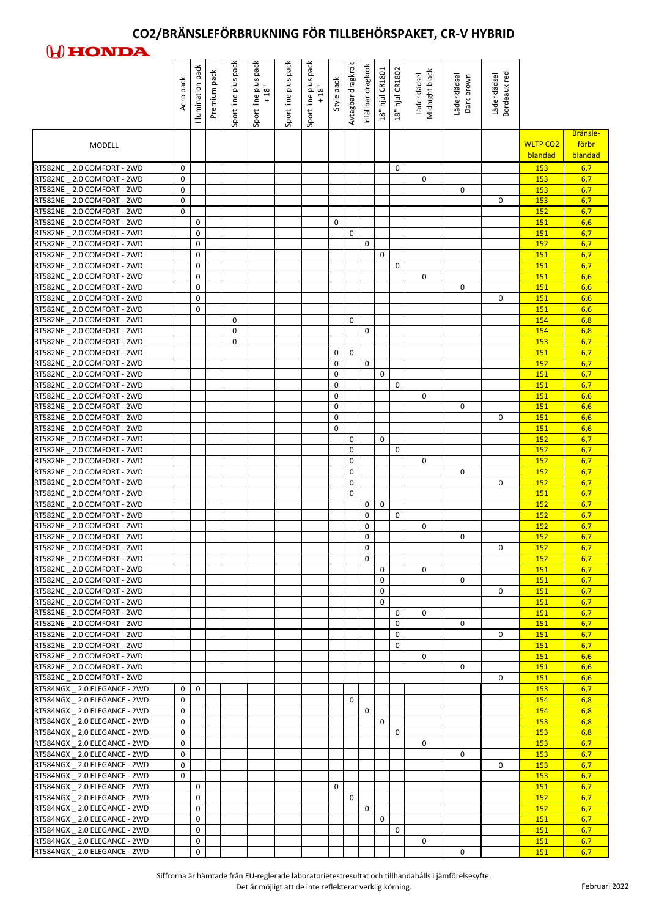

|                                                                | pack<br>Aero     | pack<br>Illumination | pack<br>Premium | Sport line plus pack | pack<br>Sport line plus<br>18" | pack<br>Sport line plus | pack<br>$\begin{array}{c}\n\text{Spot line plus p} \\ +18" \end{array}$ | Style pack   | Avtagbar dragkrok | Infällbar dragkrok | 18" hjul CR1801 | 18" hjul CR1802 | Midnight black<br>Läderklädsel | Läderklädsel<br>Dark brown | Bordeaux red<br>Läderklädsel |                            |                              |
|----------------------------------------------------------------|------------------|----------------------|-----------------|----------------------|--------------------------------|-------------------------|-------------------------------------------------------------------------|--------------|-------------------|--------------------|-----------------|-----------------|--------------------------------|----------------------------|------------------------------|----------------------------|------------------------------|
| <b>MODELL</b>                                                  |                  |                      |                 |                      |                                |                         |                                                                         |              |                   |                    |                 |                 |                                |                            |                              | <b>WLTP CO2</b><br>blandad | Bränsle-<br>förbr<br>blandad |
| RT582NE 2.0 COMFORT - 2WD                                      | 0                |                      |                 |                      |                                |                         |                                                                         |              |                   |                    |                 | $\mathbf{0}$    |                                |                            |                              | 153                        | 6,7                          |
| RT582NE 2.0 COMFORT - 2WD<br>RT582NE _ 2.0 COMFORT - 2WD       | 0<br>0           |                      |                 |                      |                                |                         |                                                                         |              |                   |                    |                 |                 | 0                              | 0                          |                              | <b>153</b><br>153          | 6,7<br>6,7                   |
| RT582NE _ 2.0 COMFORT - 2WD                                    | 0                |                      |                 |                      |                                |                         |                                                                         |              |                   |                    |                 |                 |                                |                            | $\mathbf{0}$                 | 153                        | 6,7                          |
| RT582NE _ 2.0 COMFORT - 2WD                                    | 0                |                      |                 |                      |                                |                         |                                                                         |              |                   |                    |                 |                 |                                |                            |                              | 152                        | 6,7                          |
| RT582NE _ 2.0 COMFORT - 2WD                                    |                  | 0                    |                 |                      |                                |                         |                                                                         | $\mathbf{0}$ |                   |                    |                 |                 |                                |                            |                              | 151                        | 6,6                          |
| RT582NE 2.0 COMFORT - 2WD<br>RT582NE _ 2.0 COMFORT - 2WD       |                  | 0<br>0               |                 |                      |                                |                         |                                                                         |              | $\pmb{0}$         | 0                  |                 |                 |                                |                            |                              | <b>151</b><br>152          | 6,7<br>6,7                   |
| RT582NE _ 2.0 COMFORT - 2WD                                    |                  | 0                    |                 |                      |                                |                         |                                                                         |              |                   |                    | 0               |                 |                                |                            |                              | 151                        | 6,7                          |
| RT582NE _ 2.0 COMFORT - 2WD                                    |                  | $\mathbf 0$          |                 |                      |                                |                         |                                                                         |              |                   |                    |                 | 0               |                                |                            |                              | <b>151</b>                 | 6,7                          |
| RT582NE 2.0 COMFORT - 2WD<br>RT582NE _ 2.0 COMFORT - 2WD       |                  | 0<br>$\mathbf 0$     |                 |                      |                                |                         |                                                                         |              |                   |                    |                 |                 | 0                              | $\mathbf{0}$               |                              | <b>151</b><br>151          | 6,6<br>6,6                   |
| RT582NE _ 2.0 COMFORT - 2WD                                    |                  | $\mathbf 0$          |                 |                      |                                |                         |                                                                         |              |                   |                    |                 |                 |                                |                            | 0                            | 151                        | 6,6                          |
| RT582NE _ 2.0 COMFORT - 2WD                                    |                  | 0                    |                 |                      |                                |                         |                                                                         |              |                   |                    |                 |                 |                                |                            |                              | 151                        | 6,6                          |
| RT582NE _ 2.0 COMFORT - 2WD                                    |                  |                      |                 | 0                    |                                |                         |                                                                         |              | 0                 |                    |                 |                 |                                |                            |                              | 154                        | 6,8                          |
| RT582NE _ 2.0 COMFORT - 2WD<br>RT582NE _ 2.0 COMFORT - 2WD     |                  |                      |                 | 0<br>0               |                                |                         |                                                                         |              |                   | 0                  |                 |                 |                                |                            |                              | 154<br>153                 | 6,8<br>6,7                   |
| RT582NE _ 2.0 COMFORT - 2WD                                    |                  |                      |                 |                      |                                |                         |                                                                         | 0            | $\mathbf 0$       |                    |                 |                 |                                |                            |                              | <b>151</b>                 | 6,7                          |
| RT582NE 2.0 COMFORT - 2WD                                      |                  |                      |                 |                      |                                |                         |                                                                         | 0            |                   | $\mathbf 0$        |                 |                 |                                |                            |                              | 152                        | 6,7                          |
| RT582NE _ 2.0 COMFORT - 2WD                                    |                  |                      |                 |                      |                                |                         |                                                                         | 0            |                   |                    | $\mathbf 0$     |                 |                                |                            |                              | 151                        | 6,7                          |
| RT582NE 2.0 COMFORT - 2WD<br>RT582NE 2.0 COMFORT - 2WD         |                  |                      |                 |                      |                                |                         |                                                                         | 0<br>0       |                   |                    |                 | $\mathbf 0$     | 0                              |                            |                              | <b>151</b><br>151          | 6,7<br>6,6                   |
| RT582NE _ 2.0 COMFORT - 2WD                                    |                  |                      |                 |                      |                                |                         |                                                                         | 0            |                   |                    |                 |                 |                                | $\mathbf{0}$               |                              | <b>151</b>                 | 6,6                          |
| RT582NE _ 2.0 COMFORT - 2WD                                    |                  |                      |                 |                      |                                |                         |                                                                         | 0            |                   |                    |                 |                 |                                |                            | 0                            | <b>151</b>                 | 6,6                          |
| RT582NE _ 2.0 COMFORT - 2WD                                    |                  |                      |                 |                      |                                |                         |                                                                         | $\mathbf 0$  |                   |                    |                 |                 |                                |                            |                              | 151                        | 6,6                          |
| RT582NE 2.0 COMFORT - 2WD<br>RT582NE _ 2.0 COMFORT - 2WD       |                  |                      |                 |                      |                                |                         |                                                                         |              | 0<br>0            |                    | $\mathbf 0$     | $\mathbf 0$     |                                |                            |                              | <b>152</b><br><b>152</b>   | 6,7<br>6,7                   |
| RT582NE 2.0 COMFORT - 2WD                                      |                  |                      |                 |                      |                                |                         |                                                                         |              | 0                 |                    |                 |                 | 0                              |                            |                              | <b>152</b>                 | 6,7                          |
| RT582NE _ 2.0 COMFORT - 2WD                                    |                  |                      |                 |                      |                                |                         |                                                                         |              | 0                 |                    |                 |                 |                                | 0                          |                              | <b>152</b>                 | 6,7                          |
| RT582NE _ 2.0 COMFORT - 2WD                                    |                  |                      |                 |                      |                                |                         |                                                                         |              | $\pmb{0}$         |                    |                 |                 |                                |                            | 0                            | 152                        | 6,7                          |
| RT582NE _ 2.0 COMFORT - 2WD<br>RT582NE _ 2.0 COMFORT - 2WD     |                  |                      |                 |                      |                                |                         |                                                                         |              | $\pmb{0}$         | 0                  | $\mathbf 0$     |                 |                                |                            |                              | <b>151</b><br><b>152</b>   | 6,7<br>6,7                   |
| RT582NE _ 2.0 COMFORT - 2WD                                    |                  |                      |                 |                      |                                |                         |                                                                         |              |                   | 0                  |                 | $\mathbf 0$     |                                |                            |                              | 152                        | 6,7                          |
| RT582NE _ 2.0 COMFORT - 2WD                                    |                  |                      |                 |                      |                                |                         |                                                                         |              |                   | 0                  |                 |                 | 0                              |                            |                              | <b>152</b>                 | 6,7                          |
| RT582NE _ 2.0 COMFORT - 2WD                                    |                  |                      |                 |                      |                                |                         |                                                                         |              |                   | 0                  |                 |                 |                                | $\Omega$                   |                              | <b>152</b>                 | 6,7                          |
| RT582NE _ 2.0 COMFORT - 2WD<br>RT582NE _ 2.0 COMFORT - 2WD     |                  |                      |                 |                      |                                |                         |                                                                         |              |                   | 0<br>0             |                 |                 |                                |                            | $\mathbf{0}$                 | 152<br><b>152</b>          | 6,7<br>6,7                   |
| RT582NE 2.0 COMFORT - 2WD                                      |                  |                      |                 |                      |                                |                         |                                                                         |              |                   |                    | $\mathbf 0$     |                 | $\mathbf 0$                    |                            |                              | <b>151</b>                 | 6,7                          |
| RT582NE 2.0 COMFORT - 2WD                                      |                  |                      |                 |                      |                                |                         |                                                                         |              |                   |                    | $\pmb{0}$       |                 |                                | $\mathbf{0}$               |                              | <b>151</b>                 | 6,7                          |
| RT582NE _ 2.0 COMFORT - 2WD                                    |                  |                      |                 |                      |                                |                         |                                                                         |              |                   |                    | 0               |                 |                                |                            | 0                            | <b>151</b>                 | 6,7                          |
| RT582NE _ 2.0 COMFORT - 2WD                                    |                  |                      |                 |                      |                                |                         |                                                                         |              |                   |                    | 0               |                 |                                |                            |                              | <b>151</b>                 | 6,7                          |
| RT582NE _ 2.0 COMFORT - 2WD<br>RT582NE _ 2.0 COMFORT - 2WD     |                  |                      |                 |                      |                                |                         |                                                                         |              |                   |                    |                 | 0<br>0          | 0                              | 0                          |                              | <b>151</b><br><b>151</b>   | 6,7<br>6,7                   |
| RT582NE _ 2.0 COMFORT - 2WD                                    |                  |                      |                 |                      |                                |                         |                                                                         |              |                   |                    |                 | $\mathbf 0$     |                                |                            | $\mathbf{0}$                 | 151                        | 6,7                          |
| RT582NE _ 2.0 COMFORT - 2WD                                    |                  |                      |                 |                      |                                |                         |                                                                         |              |                   |                    |                 | 0               |                                |                            |                              | <b>151</b>                 | 6,7                          |
| RT582NE 2.0 COMFORT - 2WD<br>RT582NE _ 2.0 COMFORT - 2WD       |                  |                      |                 |                      |                                |                         |                                                                         |              |                   |                    |                 |                 | $\mathbf 0$                    | $\mathbf{0}$               |                              | <b>151</b><br><b>151</b>   | 6,6<br>6,6                   |
| RT582NE _ 2.0 COMFORT - 2WD                                    |                  |                      |                 |                      |                                |                         |                                                                         |              |                   |                    |                 |                 |                                |                            | 0                            | <b>151</b>                 | 6,6                          |
| RT584NGX 2.0 ELEGANCE - 2WD                                    | 0                | 0                    |                 |                      |                                |                         |                                                                         |              |                   |                    |                 |                 |                                |                            |                              | 153                        | 6,7                          |
| RT584NGX _ 2.0 ELEGANCE - 2WD                                  | 0                |                      |                 |                      |                                |                         |                                                                         |              | 0                 |                    |                 |                 |                                |                            |                              | 154                        | 6,8                          |
| RT584NGX _ 2.0 ELEGANCE - 2WD                                  | 0                |                      |                 |                      |                                |                         |                                                                         |              |                   | $\mathbf 0$        |                 |                 |                                |                            |                              | 154                        | 6,8                          |
| RT584NGX _ 2.0 ELEGANCE - 2WD<br>RT584NGX _ 2.0 ELEGANCE - 2WD | 0<br>0           |                      |                 |                      |                                |                         |                                                                         |              |                   |                    | $\mathbf 0$     | $\mathbf 0$     |                                |                            |                              | 153<br>153                 | 6,8<br>6,8                   |
| RT584NGX _ 2.0 ELEGANCE - 2WD                                  | $\mathbf 0$      |                      |                 |                      |                                |                         |                                                                         |              |                   |                    |                 |                 | $\mathbf{0}$                   |                            |                              | <b>153</b>                 | 6,7                          |
| RT584NGX 2.0 ELEGANCE - 2WD                                    | 0                |                      |                 |                      |                                |                         |                                                                         |              |                   |                    |                 |                 |                                | $\Omega$                   |                              | 153                        | 6,7                          |
| RT584NGX 2.0 ELEGANCE - 2WD                                    | 0<br>$\mathbf 0$ |                      |                 |                      |                                |                         |                                                                         |              |                   |                    |                 |                 |                                |                            | 0                            | 153<br>153                 | 6,7                          |
| RT584NGX 2.0 ELEGANCE - 2WD<br>RT584NGX 2.0 ELEGANCE - 2WD     |                  | $\mathbf 0$          |                 |                      |                                |                         |                                                                         | $\mathbf 0$  |                   |                    |                 |                 |                                |                            |                              | <b>151</b>                 | 6,7<br>6,7                   |
| RT584NGX 2.0 ELEGANCE - 2WD                                    |                  | 0                    |                 |                      |                                |                         |                                                                         |              | $\mathbf 0$       |                    |                 |                 |                                |                            |                              | 152                        | 6,7                          |
| RT584NGX 2.0 ELEGANCE - 2WD                                    |                  | $\mathbf 0$          |                 |                      |                                |                         |                                                                         |              |                   | $\mathbf 0$        |                 |                 |                                |                            |                              | 152                        | 6,7                          |
| RT584NGX 2.0 ELEGANCE - 2WD                                    |                  | 0                    |                 |                      |                                |                         |                                                                         |              |                   |                    | $\mathbf 0$     |                 |                                |                            |                              | <b>151</b>                 | 6,7                          |
| RT584NGX 2.0 ELEGANCE - 2WD<br>RT584NGX 2.0 ELEGANCE - 2WD     |                  | 0<br>$\pmb{0}$       |                 |                      |                                |                         |                                                                         |              |                   |                    |                 | $\mathbf 0$     | $\mathbf 0$                    |                            |                              | <b>151</b><br>151          | 6,7<br>6,7                   |
| RT584NGX 2.0 ELEGANCE - 2WD                                    |                  | 0                    |                 |                      |                                |                         |                                                                         |              |                   |                    |                 |                 |                                | 0                          |                              | <b>151</b>                 | 6,7                          |

Siffrorna är hämtade från EU-reglerade laboratorietestresultat och tillhandahålls i jämförelsesyfte.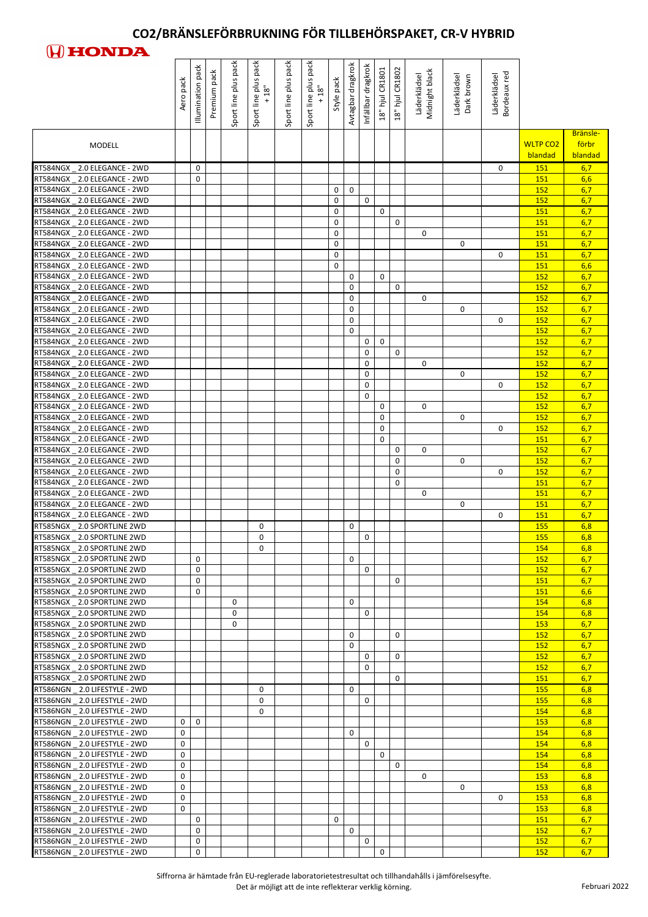

| Bränsle-<br>förbr<br><b>WLTP CO2</b><br><b>MODELL</b><br>blandad<br>blandad<br>6,7<br>RT584NGX 2.0 ELEGANCE - 2WD<br>0<br><b>151</b><br>$\Omega$<br>6,6<br>RT584NGX 2.0 ELEGANCE - 2WD<br>0<br><b>151</b><br>6,7<br>0<br>RT584NGX _ 2.0 ELEGANCE - 2WD<br>0<br>152<br>$\mathbf 0$<br>6,7<br>RT584NGX 2.0 ELEGANCE - 2WD<br>$\mathbf 0$<br>152<br>RT584NGX 2.0 ELEGANCE - 2WD<br>0<br>0<br>6,7<br><b>151</b><br>6,7<br>RT584NGX _ 2.0 ELEGANCE - 2WD<br>0<br>0<br>151<br>$\pmb{0}$<br>6,7<br>RT584NGX 2.0 ELEGANCE - 2WD<br>0<br><b>151</b><br>6,7<br>RT584NGX 2.0 ELEGANCE - 2WD<br>0<br>0<br>151<br>6,7<br>RT584NGX 2.0 ELEGANCE - 2WD<br>0<br>$\mathbf{0}$<br>151<br>RT584NGX _ 2.0 ELEGANCE - 2WD<br>6,6<br>0<br>151<br>$\mathbf 0$<br>6,7<br>$\pmb{0}$<br>152<br>6,7<br>$\mathbf 0$<br>RT584NGX _ 2.0 ELEGANCE - 2WD<br>0<br>152<br>0<br>6,7<br>RT584NGX 2.0 ELEGANCE - 2WD<br>0<br><b>152</b><br>6,7<br>RT584NGX 2.0 ELEGANCE - 2WD<br>0<br>0<br>152<br>$\pmb{0}$<br>6,7<br>$\mathbf{0}$<br>152<br>RT584NGX _ 2.0 ELEGANCE - 2WD<br>0<br>6,7<br>RT584NGX _ 2.0 ELEGANCE - 2WD<br><b>152</b><br>6,7<br>RT584NGX _ 2.0 ELEGANCE - 2WD<br>$\mathbf 0$<br>152<br>0<br>$\mathbf 0$<br>6,7<br>RT584NGX 2.0 ELEGANCE - 2WD<br>0<br><b>152</b><br>6,7<br>RT584NGX 2.0 ELEGANCE - 2WD<br>0<br>0<br>152<br>0<br>6,7<br>$\mathbf{0}$<br>152<br>RT584NGX 2.0 ELEGANCE - 2WD<br>RT584NGX 2.0 ELEGANCE - 2WD<br>0<br>6,7<br>0<br><b>152</b><br>$\pmb{0}$<br>6,7<br>RT584NGX 2.0 ELEGANCE - 2WD<br>152<br>$\pmb{0}$<br>RT584NGX 2.0 ELEGANCE - 2WD<br>$\mathbf{0}$<br><b>152</b><br>6,7<br>RT584NGX 2.0 ELEGANCE - 2WD<br>0<br>0<br><b>152</b><br>6,7<br>RT584NGX 2.0 ELEGANCE - 2WD<br>$\mathbf 0$<br>6,7<br>$\Omega$<br><b>152</b><br>$\pmb{0}$<br>6,7<br>151<br>0<br>$\mathbf 0$<br>6,7<br><b>152</b><br>RT584NGX 2.0 ELEGANCE - 2WD<br>0<br>$\mathbf{0}$<br>6,7<br><b>152</b><br>$\mathbf 0$<br>RT584NGX 2.0 ELEGANCE - 2WD<br>0<br>6,7<br><b>152</b><br>$\mathbf 0$<br>6,7<br>RT584NGX 2.0 ELEGANCE - 2WD<br><b>151</b><br>$\Omega$<br>6,7<br><b>151</b><br>6,7<br>RT584NGX 2.0 ELEGANCE - 2WD<br>$\mathbf{0}$<br><b>151</b><br>RT584NGX _ 2.0 ELEGANCE - 2WD<br>6,7<br>$\mathbf{0}$<br><b>151</b><br>RT585NGX 2.0 SPORTLINE 2WD<br>0<br>6,8<br>0<br><b>155</b><br>RT585NGX _ 2.0 SPORTLINE 2WD<br>0<br>0<br>6,8<br><b>155</b><br>RT585NGX _ 2.0 SPORTLINE 2WD<br>6,8<br>0<br>154<br>0<br>RT585NGX 2.0 SPORTLINE 2WD<br>0<br>6,7<br><b>152</b><br>RT585NGX 2.0 SPORTLINE 2WD<br>0<br>0<br>6,7<br><b>152</b><br>0<br>0<br>6,7<br><b>151</b><br>RT585NGX _ 2.0 SPORTLINE 2WD<br>0<br><b>151</b><br>6,6<br>6,8<br>$\mathbf{0}$<br>154<br>RT585NGX _ 2.0 SPORTLINE 2WD<br>0<br>0<br>6,8<br>RT585NGX 2.0 SPORTLINE 2WD<br>0<br><b>154</b><br>6,7<br>0<br><b>153</b><br>0<br>0<br>6,7<br><b>152</b><br>0<br>6,7<br>RT585NGX 2.0 SPORTLINE 2WD<br><b>152</b><br>$\mathbf 0$<br>6,7<br>RT585NGX 2.0 SPORTLINE 2WD<br>0<br><b>152</b><br>0<br>RT585NGX 2.0 SPORTLINE 2WD<br>6,7<br><b>152</b><br>RT585NGX _ 2.0 SPORTLINE 2WD<br>0<br>6,7<br><b>151</b><br>6,8<br>0<br>155<br>0<br>6,8<br>RT586NGN 2.0 LIFESTYLE - 2WD<br>0<br>0<br><b>155</b><br>RT586NGN 2.0 LIFESTYLE - 2WD<br>6,8<br>0<br>154<br>0<br>$\mathbf{0}$<br>6,8<br>RT586NGN 2.0 LIFESTYLE - 2WD<br><b>153</b><br>0<br>0<br>6,8<br><b>154</b><br>$\pmb{0}$<br>6,8<br>0<br><b>154</b><br>$\mathbf 0$<br>0<br>6,8<br>154<br>0<br>0<br>6,8<br>154<br>RT586NGN 2.0 LIFESTYLE - 2WD<br>0<br>6,8<br>$\mathbf 0$<br>153<br>RT586NGN 2.0 LIFESTYLE - 2WD<br>0<br>6,8<br>0<br><b>153</b><br>0<br>6,8<br>0<br><b>153</b><br>$\mathbf 0$<br>6,8<br><b>153</b><br>0<br>0<br>6,7<br>151<br>0<br>$\mathbf 0$<br>6,7<br>RT586NGN 2.0 LIFESTYLE - 2WD<br>152<br>0<br>RT586NGN 2.0 LIFESTYLE - 2WD<br>0<br>6,7<br>152 |                                | pack<br>Aero | pack<br>Illumination | pack<br>Premium | Sport line plus pack | pack<br>Sport line plus<br>18" | pack<br>Sport line plus | Sport line plus pack<br>+ 18" | Style pack | Avtagbar dragkrok | Infällbar dragkrok | 18" hjul CR1801 | 18" hjul CR1802 | Läderklädsel<br>Midnight black | Läderklädsel<br>Dark brown | Bordeaux red<br>Läderklädsel |  |
|-----------------------------------------------------------------------------------------------------------------------------------------------------------------------------------------------------------------------------------------------------------------------------------------------------------------------------------------------------------------------------------------------------------------------------------------------------------------------------------------------------------------------------------------------------------------------------------------------------------------------------------------------------------------------------------------------------------------------------------------------------------------------------------------------------------------------------------------------------------------------------------------------------------------------------------------------------------------------------------------------------------------------------------------------------------------------------------------------------------------------------------------------------------------------------------------------------------------------------------------------------------------------------------------------------------------------------------------------------------------------------------------------------------------------------------------------------------------------------------------------------------------------------------------------------------------------------------------------------------------------------------------------------------------------------------------------------------------------------------------------------------------------------------------------------------------------------------------------------------------------------------------------------------------------------------------------------------------------------------------------------------------------------------------------------------------------------------------------------------------------------------------------------------------------------------------------------------------------------------------------------------------------------------------------------------------------------------------------------------------------------------------------------------------------------------------------------------------------------------------------------------------------------------------------------------------------------------------------------------------------------------------------------------------------------------------------------------------------------------------------------------------------------------------------------------------------------------------------------------------------------------------------------------------------------------------------------------------------------------------------------------------------------------------------------------------------------------------------------------------------------------------------------------------------------------------------------------------------------------------------------------------------------------------------------------------------------------------------------------------------------------------------------------------------------------------------------------------------------------------------------------------------------------------------------------------------------------------------------------------------------------------------------------------------------------------------------------------------------------------------------|--------------------------------|--------------|----------------------|-----------------|----------------------|--------------------------------|-------------------------|-------------------------------|------------|-------------------|--------------------|-----------------|-----------------|--------------------------------|----------------------------|------------------------------|--|
|                                                                                                                                                                                                                                                                                                                                                                                                                                                                                                                                                                                                                                                                                                                                                                                                                                                                                                                                                                                                                                                                                                                                                                                                                                                                                                                                                                                                                                                                                                                                                                                                                                                                                                                                                                                                                                                                                                                                                                                                                                                                                                                                                                                                                                                                                                                                                                                                                                                                                                                                                                                                                                                                                                                                                                                                                                                                                                                                                                                                                                                                                                                                                                                                                                                                                                                                                                                                                                                                                                                                                                                                                                                                                                                                                     |                                |              |                      |                 |                      |                                |                         |                               |            |                   |                    |                 |                 |                                |                            |                              |  |
|                                                                                                                                                                                                                                                                                                                                                                                                                                                                                                                                                                                                                                                                                                                                                                                                                                                                                                                                                                                                                                                                                                                                                                                                                                                                                                                                                                                                                                                                                                                                                                                                                                                                                                                                                                                                                                                                                                                                                                                                                                                                                                                                                                                                                                                                                                                                                                                                                                                                                                                                                                                                                                                                                                                                                                                                                                                                                                                                                                                                                                                                                                                                                                                                                                                                                                                                                                                                                                                                                                                                                                                                                                                                                                                                                     |                                |              |                      |                 |                      |                                |                         |                               |            |                   |                    |                 |                 |                                |                            |                              |  |
|                                                                                                                                                                                                                                                                                                                                                                                                                                                                                                                                                                                                                                                                                                                                                                                                                                                                                                                                                                                                                                                                                                                                                                                                                                                                                                                                                                                                                                                                                                                                                                                                                                                                                                                                                                                                                                                                                                                                                                                                                                                                                                                                                                                                                                                                                                                                                                                                                                                                                                                                                                                                                                                                                                                                                                                                                                                                                                                                                                                                                                                                                                                                                                                                                                                                                                                                                                                                                                                                                                                                                                                                                                                                                                                                                     |                                |              |                      |                 |                      |                                |                         |                               |            |                   |                    |                 |                 |                                |                            |                              |  |
|                                                                                                                                                                                                                                                                                                                                                                                                                                                                                                                                                                                                                                                                                                                                                                                                                                                                                                                                                                                                                                                                                                                                                                                                                                                                                                                                                                                                                                                                                                                                                                                                                                                                                                                                                                                                                                                                                                                                                                                                                                                                                                                                                                                                                                                                                                                                                                                                                                                                                                                                                                                                                                                                                                                                                                                                                                                                                                                                                                                                                                                                                                                                                                                                                                                                                                                                                                                                                                                                                                                                                                                                                                                                                                                                                     |                                |              |                      |                 |                      |                                |                         |                               |            |                   |                    |                 |                 |                                |                            |                              |  |
|                                                                                                                                                                                                                                                                                                                                                                                                                                                                                                                                                                                                                                                                                                                                                                                                                                                                                                                                                                                                                                                                                                                                                                                                                                                                                                                                                                                                                                                                                                                                                                                                                                                                                                                                                                                                                                                                                                                                                                                                                                                                                                                                                                                                                                                                                                                                                                                                                                                                                                                                                                                                                                                                                                                                                                                                                                                                                                                                                                                                                                                                                                                                                                                                                                                                                                                                                                                                                                                                                                                                                                                                                                                                                                                                                     |                                |              |                      |                 |                      |                                |                         |                               |            |                   |                    |                 |                 |                                |                            |                              |  |
|                                                                                                                                                                                                                                                                                                                                                                                                                                                                                                                                                                                                                                                                                                                                                                                                                                                                                                                                                                                                                                                                                                                                                                                                                                                                                                                                                                                                                                                                                                                                                                                                                                                                                                                                                                                                                                                                                                                                                                                                                                                                                                                                                                                                                                                                                                                                                                                                                                                                                                                                                                                                                                                                                                                                                                                                                                                                                                                                                                                                                                                                                                                                                                                                                                                                                                                                                                                                                                                                                                                                                                                                                                                                                                                                                     |                                |              |                      |                 |                      |                                |                         |                               |            |                   |                    |                 |                 |                                |                            |                              |  |
|                                                                                                                                                                                                                                                                                                                                                                                                                                                                                                                                                                                                                                                                                                                                                                                                                                                                                                                                                                                                                                                                                                                                                                                                                                                                                                                                                                                                                                                                                                                                                                                                                                                                                                                                                                                                                                                                                                                                                                                                                                                                                                                                                                                                                                                                                                                                                                                                                                                                                                                                                                                                                                                                                                                                                                                                                                                                                                                                                                                                                                                                                                                                                                                                                                                                                                                                                                                                                                                                                                                                                                                                                                                                                                                                                     |                                |              |                      |                 |                      |                                |                         |                               |            |                   |                    |                 |                 |                                |                            |                              |  |
|                                                                                                                                                                                                                                                                                                                                                                                                                                                                                                                                                                                                                                                                                                                                                                                                                                                                                                                                                                                                                                                                                                                                                                                                                                                                                                                                                                                                                                                                                                                                                                                                                                                                                                                                                                                                                                                                                                                                                                                                                                                                                                                                                                                                                                                                                                                                                                                                                                                                                                                                                                                                                                                                                                                                                                                                                                                                                                                                                                                                                                                                                                                                                                                                                                                                                                                                                                                                                                                                                                                                                                                                                                                                                                                                                     |                                |              |                      |                 |                      |                                |                         |                               |            |                   |                    |                 |                 |                                |                            |                              |  |
|                                                                                                                                                                                                                                                                                                                                                                                                                                                                                                                                                                                                                                                                                                                                                                                                                                                                                                                                                                                                                                                                                                                                                                                                                                                                                                                                                                                                                                                                                                                                                                                                                                                                                                                                                                                                                                                                                                                                                                                                                                                                                                                                                                                                                                                                                                                                                                                                                                                                                                                                                                                                                                                                                                                                                                                                                                                                                                                                                                                                                                                                                                                                                                                                                                                                                                                                                                                                                                                                                                                                                                                                                                                                                                                                                     |                                |              |                      |                 |                      |                                |                         |                               |            |                   |                    |                 |                 |                                |                            |                              |  |
|                                                                                                                                                                                                                                                                                                                                                                                                                                                                                                                                                                                                                                                                                                                                                                                                                                                                                                                                                                                                                                                                                                                                                                                                                                                                                                                                                                                                                                                                                                                                                                                                                                                                                                                                                                                                                                                                                                                                                                                                                                                                                                                                                                                                                                                                                                                                                                                                                                                                                                                                                                                                                                                                                                                                                                                                                                                                                                                                                                                                                                                                                                                                                                                                                                                                                                                                                                                                                                                                                                                                                                                                                                                                                                                                                     | RT584NGX _ 2.0 ELEGANCE - 2WD  |              |                      |                 |                      |                                |                         |                               |            |                   |                    |                 |                 |                                |                            |                              |  |
|                                                                                                                                                                                                                                                                                                                                                                                                                                                                                                                                                                                                                                                                                                                                                                                                                                                                                                                                                                                                                                                                                                                                                                                                                                                                                                                                                                                                                                                                                                                                                                                                                                                                                                                                                                                                                                                                                                                                                                                                                                                                                                                                                                                                                                                                                                                                                                                                                                                                                                                                                                                                                                                                                                                                                                                                                                                                                                                                                                                                                                                                                                                                                                                                                                                                                                                                                                                                                                                                                                                                                                                                                                                                                                                                                     |                                |              |                      |                 |                      |                                |                         |                               |            |                   |                    |                 |                 |                                |                            |                              |  |
|                                                                                                                                                                                                                                                                                                                                                                                                                                                                                                                                                                                                                                                                                                                                                                                                                                                                                                                                                                                                                                                                                                                                                                                                                                                                                                                                                                                                                                                                                                                                                                                                                                                                                                                                                                                                                                                                                                                                                                                                                                                                                                                                                                                                                                                                                                                                                                                                                                                                                                                                                                                                                                                                                                                                                                                                                                                                                                                                                                                                                                                                                                                                                                                                                                                                                                                                                                                                                                                                                                                                                                                                                                                                                                                                                     |                                |              |                      |                 |                      |                                |                         |                               |            |                   |                    |                 |                 |                                |                            |                              |  |
|                                                                                                                                                                                                                                                                                                                                                                                                                                                                                                                                                                                                                                                                                                                                                                                                                                                                                                                                                                                                                                                                                                                                                                                                                                                                                                                                                                                                                                                                                                                                                                                                                                                                                                                                                                                                                                                                                                                                                                                                                                                                                                                                                                                                                                                                                                                                                                                                                                                                                                                                                                                                                                                                                                                                                                                                                                                                                                                                                                                                                                                                                                                                                                                                                                                                                                                                                                                                                                                                                                                                                                                                                                                                                                                                                     |                                |              |                      |                 |                      |                                |                         |                               |            |                   |                    |                 |                 |                                |                            |                              |  |
|                                                                                                                                                                                                                                                                                                                                                                                                                                                                                                                                                                                                                                                                                                                                                                                                                                                                                                                                                                                                                                                                                                                                                                                                                                                                                                                                                                                                                                                                                                                                                                                                                                                                                                                                                                                                                                                                                                                                                                                                                                                                                                                                                                                                                                                                                                                                                                                                                                                                                                                                                                                                                                                                                                                                                                                                                                                                                                                                                                                                                                                                                                                                                                                                                                                                                                                                                                                                                                                                                                                                                                                                                                                                                                                                                     |                                |              |                      |                 |                      |                                |                         |                               |            |                   |                    |                 |                 |                                |                            |                              |  |
|                                                                                                                                                                                                                                                                                                                                                                                                                                                                                                                                                                                                                                                                                                                                                                                                                                                                                                                                                                                                                                                                                                                                                                                                                                                                                                                                                                                                                                                                                                                                                                                                                                                                                                                                                                                                                                                                                                                                                                                                                                                                                                                                                                                                                                                                                                                                                                                                                                                                                                                                                                                                                                                                                                                                                                                                                                                                                                                                                                                                                                                                                                                                                                                                                                                                                                                                                                                                                                                                                                                                                                                                                                                                                                                                                     |                                |              |                      |                 |                      |                                |                         |                               |            |                   |                    |                 |                 |                                |                            |                              |  |
|                                                                                                                                                                                                                                                                                                                                                                                                                                                                                                                                                                                                                                                                                                                                                                                                                                                                                                                                                                                                                                                                                                                                                                                                                                                                                                                                                                                                                                                                                                                                                                                                                                                                                                                                                                                                                                                                                                                                                                                                                                                                                                                                                                                                                                                                                                                                                                                                                                                                                                                                                                                                                                                                                                                                                                                                                                                                                                                                                                                                                                                                                                                                                                                                                                                                                                                                                                                                                                                                                                                                                                                                                                                                                                                                                     |                                |              |                      |                 |                      |                                |                         |                               |            |                   |                    |                 |                 |                                |                            |                              |  |
|                                                                                                                                                                                                                                                                                                                                                                                                                                                                                                                                                                                                                                                                                                                                                                                                                                                                                                                                                                                                                                                                                                                                                                                                                                                                                                                                                                                                                                                                                                                                                                                                                                                                                                                                                                                                                                                                                                                                                                                                                                                                                                                                                                                                                                                                                                                                                                                                                                                                                                                                                                                                                                                                                                                                                                                                                                                                                                                                                                                                                                                                                                                                                                                                                                                                                                                                                                                                                                                                                                                                                                                                                                                                                                                                                     |                                |              |                      |                 |                      |                                |                         |                               |            |                   |                    |                 |                 |                                |                            |                              |  |
|                                                                                                                                                                                                                                                                                                                                                                                                                                                                                                                                                                                                                                                                                                                                                                                                                                                                                                                                                                                                                                                                                                                                                                                                                                                                                                                                                                                                                                                                                                                                                                                                                                                                                                                                                                                                                                                                                                                                                                                                                                                                                                                                                                                                                                                                                                                                                                                                                                                                                                                                                                                                                                                                                                                                                                                                                                                                                                                                                                                                                                                                                                                                                                                                                                                                                                                                                                                                                                                                                                                                                                                                                                                                                                                                                     |                                |              |                      |                 |                      |                                |                         |                               |            |                   |                    |                 |                 |                                |                            |                              |  |
|                                                                                                                                                                                                                                                                                                                                                                                                                                                                                                                                                                                                                                                                                                                                                                                                                                                                                                                                                                                                                                                                                                                                                                                                                                                                                                                                                                                                                                                                                                                                                                                                                                                                                                                                                                                                                                                                                                                                                                                                                                                                                                                                                                                                                                                                                                                                                                                                                                                                                                                                                                                                                                                                                                                                                                                                                                                                                                                                                                                                                                                                                                                                                                                                                                                                                                                                                                                                                                                                                                                                                                                                                                                                                                                                                     |                                |              |                      |                 |                      |                                |                         |                               |            |                   |                    |                 |                 |                                |                            |                              |  |
|                                                                                                                                                                                                                                                                                                                                                                                                                                                                                                                                                                                                                                                                                                                                                                                                                                                                                                                                                                                                                                                                                                                                                                                                                                                                                                                                                                                                                                                                                                                                                                                                                                                                                                                                                                                                                                                                                                                                                                                                                                                                                                                                                                                                                                                                                                                                                                                                                                                                                                                                                                                                                                                                                                                                                                                                                                                                                                                                                                                                                                                                                                                                                                                                                                                                                                                                                                                                                                                                                                                                                                                                                                                                                                                                                     |                                |              |                      |                 |                      |                                |                         |                               |            |                   |                    |                 |                 |                                |                            |                              |  |
|                                                                                                                                                                                                                                                                                                                                                                                                                                                                                                                                                                                                                                                                                                                                                                                                                                                                                                                                                                                                                                                                                                                                                                                                                                                                                                                                                                                                                                                                                                                                                                                                                                                                                                                                                                                                                                                                                                                                                                                                                                                                                                                                                                                                                                                                                                                                                                                                                                                                                                                                                                                                                                                                                                                                                                                                                                                                                                                                                                                                                                                                                                                                                                                                                                                                                                                                                                                                                                                                                                                                                                                                                                                                                                                                                     |                                |              |                      |                 |                      |                                |                         |                               |            |                   |                    |                 |                 |                                |                            |                              |  |
|                                                                                                                                                                                                                                                                                                                                                                                                                                                                                                                                                                                                                                                                                                                                                                                                                                                                                                                                                                                                                                                                                                                                                                                                                                                                                                                                                                                                                                                                                                                                                                                                                                                                                                                                                                                                                                                                                                                                                                                                                                                                                                                                                                                                                                                                                                                                                                                                                                                                                                                                                                                                                                                                                                                                                                                                                                                                                                                                                                                                                                                                                                                                                                                                                                                                                                                                                                                                                                                                                                                                                                                                                                                                                                                                                     | RT584NGX 2.0 ELEGANCE - 2WD    |              |                      |                 |                      |                                |                         |                               |            |                   |                    |                 |                 |                                |                            |                              |  |
|                                                                                                                                                                                                                                                                                                                                                                                                                                                                                                                                                                                                                                                                                                                                                                                                                                                                                                                                                                                                                                                                                                                                                                                                                                                                                                                                                                                                                                                                                                                                                                                                                                                                                                                                                                                                                                                                                                                                                                                                                                                                                                                                                                                                                                                                                                                                                                                                                                                                                                                                                                                                                                                                                                                                                                                                                                                                                                                                                                                                                                                                                                                                                                                                                                                                                                                                                                                                                                                                                                                                                                                                                                                                                                                                                     | RT584NGX 2.0 ELEGANCE - 2WD    |              |                      |                 |                      |                                |                         |                               |            |                   |                    |                 |                 |                                |                            |                              |  |
|                                                                                                                                                                                                                                                                                                                                                                                                                                                                                                                                                                                                                                                                                                                                                                                                                                                                                                                                                                                                                                                                                                                                                                                                                                                                                                                                                                                                                                                                                                                                                                                                                                                                                                                                                                                                                                                                                                                                                                                                                                                                                                                                                                                                                                                                                                                                                                                                                                                                                                                                                                                                                                                                                                                                                                                                                                                                                                                                                                                                                                                                                                                                                                                                                                                                                                                                                                                                                                                                                                                                                                                                                                                                                                                                                     |                                |              |                      |                 |                      |                                |                         |                               |            |                   |                    |                 |                 |                                |                            |                              |  |
|                                                                                                                                                                                                                                                                                                                                                                                                                                                                                                                                                                                                                                                                                                                                                                                                                                                                                                                                                                                                                                                                                                                                                                                                                                                                                                                                                                                                                                                                                                                                                                                                                                                                                                                                                                                                                                                                                                                                                                                                                                                                                                                                                                                                                                                                                                                                                                                                                                                                                                                                                                                                                                                                                                                                                                                                                                                                                                                                                                                                                                                                                                                                                                                                                                                                                                                                                                                                                                                                                                                                                                                                                                                                                                                                                     |                                |              |                      |                 |                      |                                |                         |                               |            |                   |                    |                 |                 |                                |                            |                              |  |
|                                                                                                                                                                                                                                                                                                                                                                                                                                                                                                                                                                                                                                                                                                                                                                                                                                                                                                                                                                                                                                                                                                                                                                                                                                                                                                                                                                                                                                                                                                                                                                                                                                                                                                                                                                                                                                                                                                                                                                                                                                                                                                                                                                                                                                                                                                                                                                                                                                                                                                                                                                                                                                                                                                                                                                                                                                                                                                                                                                                                                                                                                                                                                                                                                                                                                                                                                                                                                                                                                                                                                                                                                                                                                                                                                     | RT584NGX 2.0 ELEGANCE - 2WD    |              |                      |                 |                      |                                |                         |                               |            |                   |                    |                 |                 |                                |                            |                              |  |
|                                                                                                                                                                                                                                                                                                                                                                                                                                                                                                                                                                                                                                                                                                                                                                                                                                                                                                                                                                                                                                                                                                                                                                                                                                                                                                                                                                                                                                                                                                                                                                                                                                                                                                                                                                                                                                                                                                                                                                                                                                                                                                                                                                                                                                                                                                                                                                                                                                                                                                                                                                                                                                                                                                                                                                                                                                                                                                                                                                                                                                                                                                                                                                                                                                                                                                                                                                                                                                                                                                                                                                                                                                                                                                                                                     |                                |              |                      |                 |                      |                                |                         |                               |            |                   |                    |                 |                 |                                |                            |                              |  |
|                                                                                                                                                                                                                                                                                                                                                                                                                                                                                                                                                                                                                                                                                                                                                                                                                                                                                                                                                                                                                                                                                                                                                                                                                                                                                                                                                                                                                                                                                                                                                                                                                                                                                                                                                                                                                                                                                                                                                                                                                                                                                                                                                                                                                                                                                                                                                                                                                                                                                                                                                                                                                                                                                                                                                                                                                                                                                                                                                                                                                                                                                                                                                                                                                                                                                                                                                                                                                                                                                                                                                                                                                                                                                                                                                     |                                |              |                      |                 |                      |                                |                         |                               |            |                   |                    |                 |                 |                                |                            |                              |  |
|                                                                                                                                                                                                                                                                                                                                                                                                                                                                                                                                                                                                                                                                                                                                                                                                                                                                                                                                                                                                                                                                                                                                                                                                                                                                                                                                                                                                                                                                                                                                                                                                                                                                                                                                                                                                                                                                                                                                                                                                                                                                                                                                                                                                                                                                                                                                                                                                                                                                                                                                                                                                                                                                                                                                                                                                                                                                                                                                                                                                                                                                                                                                                                                                                                                                                                                                                                                                                                                                                                                                                                                                                                                                                                                                                     |                                |              |                      |                 |                      |                                |                         |                               |            |                   |                    |                 |                 |                                |                            |                              |  |
|                                                                                                                                                                                                                                                                                                                                                                                                                                                                                                                                                                                                                                                                                                                                                                                                                                                                                                                                                                                                                                                                                                                                                                                                                                                                                                                                                                                                                                                                                                                                                                                                                                                                                                                                                                                                                                                                                                                                                                                                                                                                                                                                                                                                                                                                                                                                                                                                                                                                                                                                                                                                                                                                                                                                                                                                                                                                                                                                                                                                                                                                                                                                                                                                                                                                                                                                                                                                                                                                                                                                                                                                                                                                                                                                                     |                                |              |                      |                 |                      |                                |                         |                               |            |                   |                    |                 |                 |                                |                            |                              |  |
|                                                                                                                                                                                                                                                                                                                                                                                                                                                                                                                                                                                                                                                                                                                                                                                                                                                                                                                                                                                                                                                                                                                                                                                                                                                                                                                                                                                                                                                                                                                                                                                                                                                                                                                                                                                                                                                                                                                                                                                                                                                                                                                                                                                                                                                                                                                                                                                                                                                                                                                                                                                                                                                                                                                                                                                                                                                                                                                                                                                                                                                                                                                                                                                                                                                                                                                                                                                                                                                                                                                                                                                                                                                                                                                                                     |                                |              |                      |                 |                      |                                |                         |                               |            |                   |                    |                 |                 |                                |                            |                              |  |
|                                                                                                                                                                                                                                                                                                                                                                                                                                                                                                                                                                                                                                                                                                                                                                                                                                                                                                                                                                                                                                                                                                                                                                                                                                                                                                                                                                                                                                                                                                                                                                                                                                                                                                                                                                                                                                                                                                                                                                                                                                                                                                                                                                                                                                                                                                                                                                                                                                                                                                                                                                                                                                                                                                                                                                                                                                                                                                                                                                                                                                                                                                                                                                                                                                                                                                                                                                                                                                                                                                                                                                                                                                                                                                                                                     |                                |              |                      |                 |                      |                                |                         |                               |            |                   |                    |                 |                 |                                |                            |                              |  |
|                                                                                                                                                                                                                                                                                                                                                                                                                                                                                                                                                                                                                                                                                                                                                                                                                                                                                                                                                                                                                                                                                                                                                                                                                                                                                                                                                                                                                                                                                                                                                                                                                                                                                                                                                                                                                                                                                                                                                                                                                                                                                                                                                                                                                                                                                                                                                                                                                                                                                                                                                                                                                                                                                                                                                                                                                                                                                                                                                                                                                                                                                                                                                                                                                                                                                                                                                                                                                                                                                                                                                                                                                                                                                                                                                     | RT585NGX 2.0 SPORTLINE 2WD     |              |                      |                 |                      |                                |                         |                               |            |                   |                    |                 |                 |                                |                            |                              |  |
|                                                                                                                                                                                                                                                                                                                                                                                                                                                                                                                                                                                                                                                                                                                                                                                                                                                                                                                                                                                                                                                                                                                                                                                                                                                                                                                                                                                                                                                                                                                                                                                                                                                                                                                                                                                                                                                                                                                                                                                                                                                                                                                                                                                                                                                                                                                                                                                                                                                                                                                                                                                                                                                                                                                                                                                                                                                                                                                                                                                                                                                                                                                                                                                                                                                                                                                                                                                                                                                                                                                                                                                                                                                                                                                                                     |                                |              |                      |                 |                      |                                |                         |                               |            |                   |                    |                 |                 |                                |                            |                              |  |
|                                                                                                                                                                                                                                                                                                                                                                                                                                                                                                                                                                                                                                                                                                                                                                                                                                                                                                                                                                                                                                                                                                                                                                                                                                                                                                                                                                                                                                                                                                                                                                                                                                                                                                                                                                                                                                                                                                                                                                                                                                                                                                                                                                                                                                                                                                                                                                                                                                                                                                                                                                                                                                                                                                                                                                                                                                                                                                                                                                                                                                                                                                                                                                                                                                                                                                                                                                                                                                                                                                                                                                                                                                                                                                                                                     |                                |              |                      |                 |                      |                                |                         |                               |            |                   |                    |                 |                 |                                |                            |                              |  |
|                                                                                                                                                                                                                                                                                                                                                                                                                                                                                                                                                                                                                                                                                                                                                                                                                                                                                                                                                                                                                                                                                                                                                                                                                                                                                                                                                                                                                                                                                                                                                                                                                                                                                                                                                                                                                                                                                                                                                                                                                                                                                                                                                                                                                                                                                                                                                                                                                                                                                                                                                                                                                                                                                                                                                                                                                                                                                                                                                                                                                                                                                                                                                                                                                                                                                                                                                                                                                                                                                                                                                                                                                                                                                                                                                     | RT585NGX _ 2.0 SPORTLINE 2WD   |              |                      |                 |                      |                                |                         |                               |            |                   |                    |                 |                 |                                |                            |                              |  |
|                                                                                                                                                                                                                                                                                                                                                                                                                                                                                                                                                                                                                                                                                                                                                                                                                                                                                                                                                                                                                                                                                                                                                                                                                                                                                                                                                                                                                                                                                                                                                                                                                                                                                                                                                                                                                                                                                                                                                                                                                                                                                                                                                                                                                                                                                                                                                                                                                                                                                                                                                                                                                                                                                                                                                                                                                                                                                                                                                                                                                                                                                                                                                                                                                                                                                                                                                                                                                                                                                                                                                                                                                                                                                                                                                     | RT585NGX 2.0 SPORTLINE 2WD     |              |                      |                 |                      |                                |                         |                               |            |                   |                    |                 |                 |                                |                            |                              |  |
|                                                                                                                                                                                                                                                                                                                                                                                                                                                                                                                                                                                                                                                                                                                                                                                                                                                                                                                                                                                                                                                                                                                                                                                                                                                                                                                                                                                                                                                                                                                                                                                                                                                                                                                                                                                                                                                                                                                                                                                                                                                                                                                                                                                                                                                                                                                                                                                                                                                                                                                                                                                                                                                                                                                                                                                                                                                                                                                                                                                                                                                                                                                                                                                                                                                                                                                                                                                                                                                                                                                                                                                                                                                                                                                                                     |                                |              |                      |                 |                      |                                |                         |                               |            |                   |                    |                 |                 |                                |                            |                              |  |
|                                                                                                                                                                                                                                                                                                                                                                                                                                                                                                                                                                                                                                                                                                                                                                                                                                                                                                                                                                                                                                                                                                                                                                                                                                                                                                                                                                                                                                                                                                                                                                                                                                                                                                                                                                                                                                                                                                                                                                                                                                                                                                                                                                                                                                                                                                                                                                                                                                                                                                                                                                                                                                                                                                                                                                                                                                                                                                                                                                                                                                                                                                                                                                                                                                                                                                                                                                                                                                                                                                                                                                                                                                                                                                                                                     |                                |              |                      |                 |                      |                                |                         |                               |            |                   |                    |                 |                 |                                |                            |                              |  |
|                                                                                                                                                                                                                                                                                                                                                                                                                                                                                                                                                                                                                                                                                                                                                                                                                                                                                                                                                                                                                                                                                                                                                                                                                                                                                                                                                                                                                                                                                                                                                                                                                                                                                                                                                                                                                                                                                                                                                                                                                                                                                                                                                                                                                                                                                                                                                                                                                                                                                                                                                                                                                                                                                                                                                                                                                                                                                                                                                                                                                                                                                                                                                                                                                                                                                                                                                                                                                                                                                                                                                                                                                                                                                                                                                     |                                |              |                      |                 |                      |                                |                         |                               |            |                   |                    |                 |                 |                                |                            |                              |  |
|                                                                                                                                                                                                                                                                                                                                                                                                                                                                                                                                                                                                                                                                                                                                                                                                                                                                                                                                                                                                                                                                                                                                                                                                                                                                                                                                                                                                                                                                                                                                                                                                                                                                                                                                                                                                                                                                                                                                                                                                                                                                                                                                                                                                                                                                                                                                                                                                                                                                                                                                                                                                                                                                                                                                                                                                                                                                                                                                                                                                                                                                                                                                                                                                                                                                                                                                                                                                                                                                                                                                                                                                                                                                                                                                                     | RT586NGN 2.0 LIFESTYLE - 2WD   |              |                      |                 |                      |                                |                         |                               |            |                   |                    |                 |                 |                                |                            |                              |  |
|                                                                                                                                                                                                                                                                                                                                                                                                                                                                                                                                                                                                                                                                                                                                                                                                                                                                                                                                                                                                                                                                                                                                                                                                                                                                                                                                                                                                                                                                                                                                                                                                                                                                                                                                                                                                                                                                                                                                                                                                                                                                                                                                                                                                                                                                                                                                                                                                                                                                                                                                                                                                                                                                                                                                                                                                                                                                                                                                                                                                                                                                                                                                                                                                                                                                                                                                                                                                                                                                                                                                                                                                                                                                                                                                                     |                                |              |                      |                 |                      |                                |                         |                               |            |                   |                    |                 |                 |                                |                            |                              |  |
|                                                                                                                                                                                                                                                                                                                                                                                                                                                                                                                                                                                                                                                                                                                                                                                                                                                                                                                                                                                                                                                                                                                                                                                                                                                                                                                                                                                                                                                                                                                                                                                                                                                                                                                                                                                                                                                                                                                                                                                                                                                                                                                                                                                                                                                                                                                                                                                                                                                                                                                                                                                                                                                                                                                                                                                                                                                                                                                                                                                                                                                                                                                                                                                                                                                                                                                                                                                                                                                                                                                                                                                                                                                                                                                                                     |                                |              |                      |                 |                      |                                |                         |                               |            |                   |                    |                 |                 |                                |                            |                              |  |
|                                                                                                                                                                                                                                                                                                                                                                                                                                                                                                                                                                                                                                                                                                                                                                                                                                                                                                                                                                                                                                                                                                                                                                                                                                                                                                                                                                                                                                                                                                                                                                                                                                                                                                                                                                                                                                                                                                                                                                                                                                                                                                                                                                                                                                                                                                                                                                                                                                                                                                                                                                                                                                                                                                                                                                                                                                                                                                                                                                                                                                                                                                                                                                                                                                                                                                                                                                                                                                                                                                                                                                                                                                                                                                                                                     | RT586NGN _ 2.0 LIFESTYLE - 2WD |              |                      |                 |                      |                                |                         |                               |            |                   |                    |                 |                 |                                |                            |                              |  |
|                                                                                                                                                                                                                                                                                                                                                                                                                                                                                                                                                                                                                                                                                                                                                                                                                                                                                                                                                                                                                                                                                                                                                                                                                                                                                                                                                                                                                                                                                                                                                                                                                                                                                                                                                                                                                                                                                                                                                                                                                                                                                                                                                                                                                                                                                                                                                                                                                                                                                                                                                                                                                                                                                                                                                                                                                                                                                                                                                                                                                                                                                                                                                                                                                                                                                                                                                                                                                                                                                                                                                                                                                                                                                                                                                     | RT586NGN _ 2.0 LIFESTYLE - 2WD |              |                      |                 |                      |                                |                         |                               |            |                   |                    |                 |                 |                                |                            |                              |  |
|                                                                                                                                                                                                                                                                                                                                                                                                                                                                                                                                                                                                                                                                                                                                                                                                                                                                                                                                                                                                                                                                                                                                                                                                                                                                                                                                                                                                                                                                                                                                                                                                                                                                                                                                                                                                                                                                                                                                                                                                                                                                                                                                                                                                                                                                                                                                                                                                                                                                                                                                                                                                                                                                                                                                                                                                                                                                                                                                                                                                                                                                                                                                                                                                                                                                                                                                                                                                                                                                                                                                                                                                                                                                                                                                                     | RT586NGN _ 2.0 LIFESTYLE - 2WD |              |                      |                 |                      |                                |                         |                               |            |                   |                    |                 |                 |                                |                            |                              |  |
|                                                                                                                                                                                                                                                                                                                                                                                                                                                                                                                                                                                                                                                                                                                                                                                                                                                                                                                                                                                                                                                                                                                                                                                                                                                                                                                                                                                                                                                                                                                                                                                                                                                                                                                                                                                                                                                                                                                                                                                                                                                                                                                                                                                                                                                                                                                                                                                                                                                                                                                                                                                                                                                                                                                                                                                                                                                                                                                                                                                                                                                                                                                                                                                                                                                                                                                                                                                                                                                                                                                                                                                                                                                                                                                                                     | RT586NGN _ 2.0 LIFESTYLE - 2WD |              |                      |                 |                      |                                |                         |                               |            |                   |                    |                 |                 |                                |                            |                              |  |
|                                                                                                                                                                                                                                                                                                                                                                                                                                                                                                                                                                                                                                                                                                                                                                                                                                                                                                                                                                                                                                                                                                                                                                                                                                                                                                                                                                                                                                                                                                                                                                                                                                                                                                                                                                                                                                                                                                                                                                                                                                                                                                                                                                                                                                                                                                                                                                                                                                                                                                                                                                                                                                                                                                                                                                                                                                                                                                                                                                                                                                                                                                                                                                                                                                                                                                                                                                                                                                                                                                                                                                                                                                                                                                                                                     |                                |              |                      |                 |                      |                                |                         |                               |            |                   |                    |                 |                 |                                |                            |                              |  |
|                                                                                                                                                                                                                                                                                                                                                                                                                                                                                                                                                                                                                                                                                                                                                                                                                                                                                                                                                                                                                                                                                                                                                                                                                                                                                                                                                                                                                                                                                                                                                                                                                                                                                                                                                                                                                                                                                                                                                                                                                                                                                                                                                                                                                                                                                                                                                                                                                                                                                                                                                                                                                                                                                                                                                                                                                                                                                                                                                                                                                                                                                                                                                                                                                                                                                                                                                                                                                                                                                                                                                                                                                                                                                                                                                     | RT586NGN 2.0 LIFESTYLE - 2WD   |              |                      |                 |                      |                                |                         |                               |            |                   |                    |                 |                 |                                |                            |                              |  |
|                                                                                                                                                                                                                                                                                                                                                                                                                                                                                                                                                                                                                                                                                                                                                                                                                                                                                                                                                                                                                                                                                                                                                                                                                                                                                                                                                                                                                                                                                                                                                                                                                                                                                                                                                                                                                                                                                                                                                                                                                                                                                                                                                                                                                                                                                                                                                                                                                                                                                                                                                                                                                                                                                                                                                                                                                                                                                                                                                                                                                                                                                                                                                                                                                                                                                                                                                                                                                                                                                                                                                                                                                                                                                                                                                     | RT586NGN 2.0 LIFESTYLE - 2WD   |              |                      |                 |                      |                                |                         |                               |            |                   |                    |                 |                 |                                |                            |                              |  |
|                                                                                                                                                                                                                                                                                                                                                                                                                                                                                                                                                                                                                                                                                                                                                                                                                                                                                                                                                                                                                                                                                                                                                                                                                                                                                                                                                                                                                                                                                                                                                                                                                                                                                                                                                                                                                                                                                                                                                                                                                                                                                                                                                                                                                                                                                                                                                                                                                                                                                                                                                                                                                                                                                                                                                                                                                                                                                                                                                                                                                                                                                                                                                                                                                                                                                                                                                                                                                                                                                                                                                                                                                                                                                                                                                     | RT586NGN 2.0 LIFESTYLE - 2WD   |              |                      |                 |                      |                                |                         |                               |            |                   |                    |                 |                 |                                |                            |                              |  |
|                                                                                                                                                                                                                                                                                                                                                                                                                                                                                                                                                                                                                                                                                                                                                                                                                                                                                                                                                                                                                                                                                                                                                                                                                                                                                                                                                                                                                                                                                                                                                                                                                                                                                                                                                                                                                                                                                                                                                                                                                                                                                                                                                                                                                                                                                                                                                                                                                                                                                                                                                                                                                                                                                                                                                                                                                                                                                                                                                                                                                                                                                                                                                                                                                                                                                                                                                                                                                                                                                                                                                                                                                                                                                                                                                     |                                |              |                      |                 |                      |                                |                         |                               |            |                   |                    |                 |                 |                                |                            |                              |  |
| 0<br>6,7<br>0<br>152                                                                                                                                                                                                                                                                                                                                                                                                                                                                                                                                                                                                                                                                                                                                                                                                                                                                                                                                                                                                                                                                                                                                                                                                                                                                                                                                                                                                                                                                                                                                                                                                                                                                                                                                                                                                                                                                                                                                                                                                                                                                                                                                                                                                                                                                                                                                                                                                                                                                                                                                                                                                                                                                                                                                                                                                                                                                                                                                                                                                                                                                                                                                                                                                                                                                                                                                                                                                                                                                                                                                                                                                                                                                                                                                | RT586NGN _ 2.0 LIFESTYLE - 2WD |              |                      |                 |                      |                                |                         |                               |            |                   |                    |                 |                 |                                |                            |                              |  |

Siffrorna är hämtade från EU-reglerade laboratorietestresultat och tillhandahålls i jämförelsesyfte.